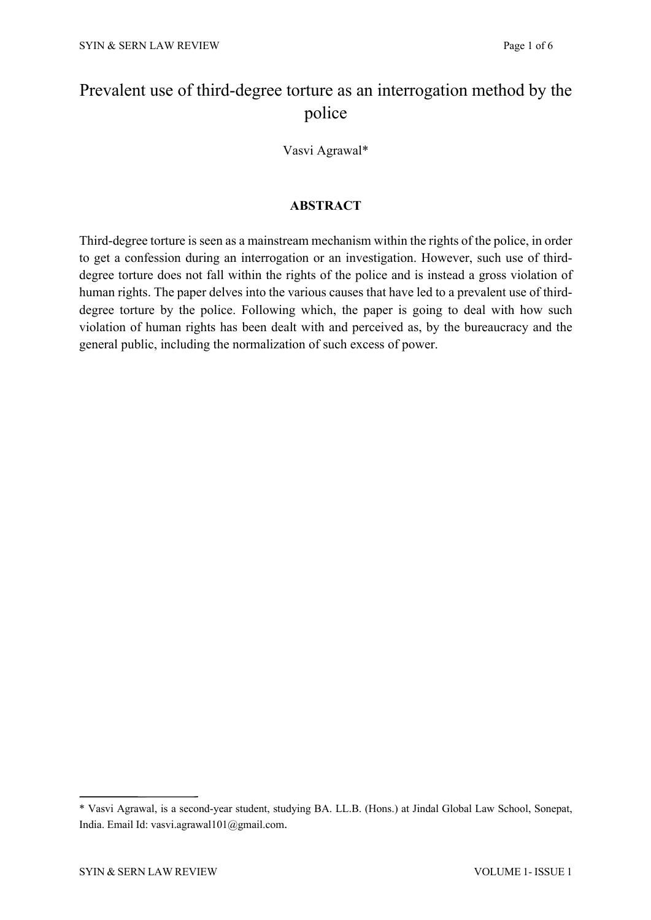# Prevalent use of third-degree torture as an interrogation method by the police

Vasvi Agrawal\*

## **ABSTRACT**

Third-degree torture is seen as a mainstream mechanism within the rights of the police, in order to get a confession during an interrogation or an investigation. However, such use of thirddegree torture does not fall within the rights of the police and is instead a gross violation of human rights. The paper delves into the various causes that have led to a prevalent use of thirddegree torture by the police. Following which, the paper is going to deal with how such violation of human rights has been dealt with and perceived as, by the bureaucracy and the general public, including the normalization of such excess of power.

<sup>\*</sup> Vasvi Agrawal, is a second-year student, studying BA. LL.B. (Hons.) at Jindal Global Law School, Sonepat, India. Email Id: vasvi.agrawal101@gmail.com.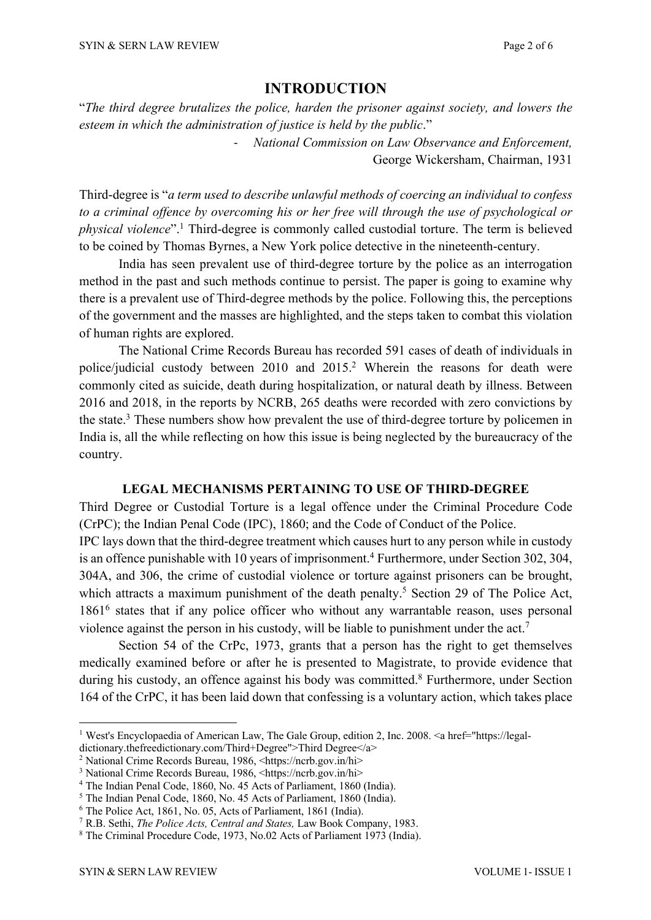# **INTRODUCTION**

"*The third degree brutalizes the police, harden the prisoner against society, and lowers the esteem in which the administration of justice is held by the public*."

> - *National Commission on Law Observance and Enforcement,* George Wickersham, Chairman, 1931

Third-degree is "*a term used to describe unlawful methods of coercing an individual to confess to a criminal offence by overcoming his or her free will through the use of psychological or physical violence*". <sup>1</sup> Third-degree is commonly called custodial torture. The term is believed to be coined by Thomas Byrnes, a New York police detective in the nineteenth-century.

India has seen prevalent use of third-degree torture by the police as an interrogation method in the past and such methods continue to persist. The paper is going to examine why there is a prevalent use of Third-degree methods by the police. Following this, the perceptions of the government and the masses are highlighted, and the steps taken to combat this violation of human rights are explored.

The National Crime Records Bureau has recorded 591 cases of death of individuals in police/judicial custody between 2010 and 2015. <sup>2</sup> Wherein the reasons for death were commonly cited as suicide, death during hospitalization, or natural death by illness. Between 2016 and 2018, in the reports by NCRB, 265 deaths were recorded with zero convictions by the state.3 These numbers show how prevalent the use of third-degree torture by policemen in India is, all the while reflecting on how this issue is being neglected by the bureaucracy of the country.

### **LEGAL MECHANISMS PERTAINING TO USE OF THIRD-DEGREE**

Third Degree or Custodial Torture is a legal offence under the Criminal Procedure Code (CrPC); the Indian Penal Code (IPC), 1860; and the Code of Conduct of the Police. IPC lays down that the third-degree treatment which causes hurt to any person while in custody is an offence punishable with 10 years of imprisonment.<sup>4</sup> Furthermore, under Section 302, 304, 304A, and 306, the crime of custodial violence or torture against prisoners can be brought, which attracts a maximum punishment of the death penalty.<sup>5</sup> Section 29 of The Police Act, 1861<sup>6</sup> states that if any police officer who without any warrantable reason, uses personal violence against the person in his custody, will be liable to punishment under the act.<sup>7</sup>

Section 54 of the CrPc, 1973, grants that a person has the right to get themselves medically examined before or after he is presented to Magistrate, to provide evidence that during his custody, an offence against his body was committed.<sup>8</sup> Furthermore, under Section 164 of the CrPC, it has been laid down that confessing is a voluntary action, which takes place

<sup>&</sup>lt;sup>1</sup> West's Encyclopaedia of American Law, The Gale Group, edition 2, Inc. 2008. <a href="https://legal-

dictionary.thefreedictionary.com/Third+Degree">Third Degree</a>

<sup>2</sup> National Crime Records Bureau, 1986, <https://ncrb.gov.in/hi>

<sup>&</sup>lt;sup>3</sup> National Crime Records Bureau, 1986, <https://ncrb.gov.in/hi><br><sup>4</sup> The Indian Penal Code, 1860, No. 45 Acts of Parliament, 1860 (India).

<sup>5</sup> The Indian Penal Code, 1860, No. 45 Acts of Parliament, 1860 (India).

<sup>6</sup> The Police Act, 1861, No. 05, Acts of Parliament, 1861 (India).

<sup>7</sup> R.B. Sethi, *The Police Acts, Central and States,* Law Book Company, 1983.

<sup>8</sup> The Criminal Procedure Code, 1973, No.02 Acts of Parliament 1973 (India).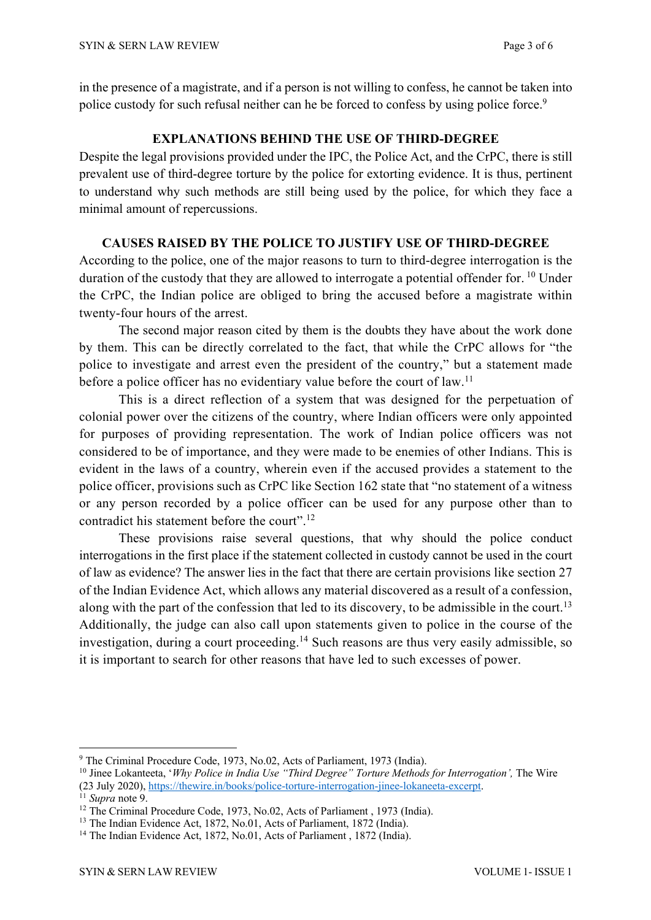in the presence of a magistrate, and if a person is not willing to confess, he cannot be taken into police custody for such refusal neither can he be forced to confess by using police force.<sup>9</sup>

## **EXPLANATIONS BEHIND THE USE OF THIRD-DEGREE**

Despite the legal provisions provided under the IPC, the Police Act, and the CrPC, there is still prevalent use of third-degree torture by the police for extorting evidence. It is thus, pertinent to understand why such methods are still being used by the police, for which they face a minimal amount of repercussions.

## **CAUSES RAISED BY THE POLICE TO JUSTIFY USE OF THIRD-DEGREE**

According to the police, one of the major reasons to turn to third-degree interrogation is the duration of the custody that they are allowed to interrogate a potential offender for. <sup>10</sup> Under the CrPC, the Indian police are obliged to bring the accused before a magistrate within twenty-four hours of the arrest.

The second major reason cited by them is the doubts they have about the work done by them. This can be directly correlated to the fact, that while the CrPC allows for "the police to investigate and arrest even the president of the country," but a statement made before a police officer has no evidentiary value before the court of law.<sup>11</sup>

This is a direct reflection of a system that was designed for the perpetuation of colonial power over the citizens of the country, where Indian officers were only appointed for purposes of providing representation. The work of Indian police officers was not considered to be of importance, and they were made to be enemies of other Indians. This is evident in the laws of a country, wherein even if the accused provides a statement to the police officer, provisions such as CrPC like Section 162 state that "no statement of a witness or any person recorded by a police officer can be used for any purpose other than to contradict his statement before the court". 12

These provisions raise several questions, that why should the police conduct interrogations in the first place if the statement collected in custody cannot be used in the court of law as evidence? The answer lies in the fact that there are certain provisions like section 27 of the Indian Evidence Act, which allows any material discovered as a result of a confession, along with the part of the confession that led to its discovery, to be admissible in the court.<sup>13</sup> Additionally, the judge can also call upon statements given to police in the course of the investigation, during a court proceeding.<sup>14</sup> Such reasons are thus very easily admissible, so it is important to search for other reasons that have led to such excesses of power.

<sup>9</sup> The Criminal Procedure Code, 1973, No.02, Acts of Parliament, 1973 (India).

<sup>10</sup> Jinee Lokanteeta, '*Why Police in India Use "Third Degree" Torture Methods for Interrogation',* The Wire

<sup>(23</sup> July 2020), https://thewire.in/books/police-torture-interrogation-jinee-lokaneeta-excerpt. 11 *Supra* note 9. 12 The Criminal Procedure Code, 1973, No.02, Acts of Parliament , 1973 (India).

<sup>&</sup>lt;sup>13</sup> The Indian Evidence Act, 1872, No.01, Acts of Parliament, 1872 (India).

<sup>&</sup>lt;sup>14</sup> The Indian Evidence Act, 1872, No.01, Acts of Parliament, 1872 (India).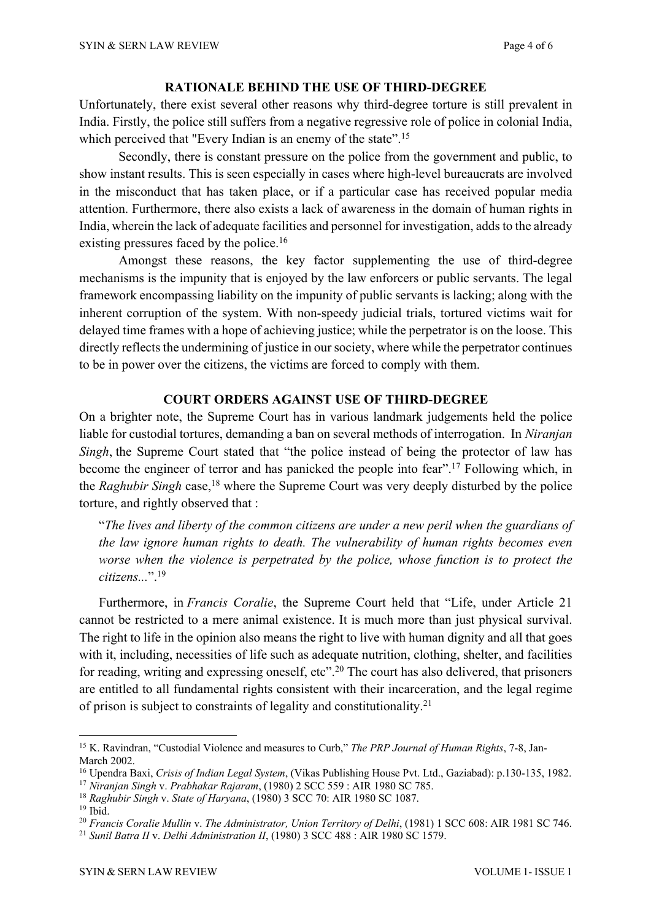#### **RATIONALE BEHIND THE USE OF THIRD-DEGREE**

Unfortunately, there exist several other reasons why third-degree torture is still prevalent in India. Firstly, the police still suffers from a negative regressive role of police in colonial India, which perceived that "Every Indian is an enemy of the state".<sup>15</sup>

Secondly, there is constant pressure on the police from the government and public, to show instant results. This is seen especially in cases where high-level bureaucrats are involved in the misconduct that has taken place, or if a particular case has received popular media attention. Furthermore, there also exists a lack of awareness in the domain of human rights in India, wherein the lack of adequate facilities and personnel for investigation, adds to the already existing pressures faced by the police.<sup>16</sup>

Amongst these reasons, the key factor supplementing the use of third-degree mechanisms is the impunity that is enjoyed by the law enforcers or public servants. The legal framework encompassing liability on the impunity of public servants is lacking; along with the inherent corruption of the system. With non-speedy judicial trials, tortured victims wait for delayed time frames with a hope of achieving justice; while the perpetrator is on the loose. This directly reflects the undermining of justice in our society, where while the perpetrator continues to be in power over the citizens, the victims are forced to comply with them.

#### **COURT ORDERS AGAINST USE OF THIRD-DEGREE**

On a brighter note, the Supreme Court has in various landmark judgements held the police liable for custodial tortures, demanding a ban on several methods of interrogation. In *Niranjan Singh*, the Supreme Court stated that "the police instead of being the protector of law has become the engineer of terror and has panicked the people into fear".<sup>17</sup> Following which, in the *Raghubir Singh* case,<sup>18</sup> where the Supreme Court was very deeply disturbed by the police torture, and rightly observed that :

"*The lives and liberty of the common citizens are under a new peril when the guardians of the law ignore human rights to death. The vulnerability of human rights becomes even worse when the violence is perpetrated by the police, whose function is to protect the citizens...*". 19

Furthermore, in *Francis Coralie*, the Supreme Court held that "Life, under Article 21 cannot be restricted to a mere animal existence. It is much more than just physical survival. The right to life in the opinion also means the right to live with human dignity and all that goes with it, including, necessities of life such as adequate nutrition, clothing, shelter, and facilities for reading, writing and expressing oneself, etc".<sup>20</sup> The court has also delivered, that prisoners are entitled to all fundamental rights consistent with their incarceration, and the legal regime of prison is subject to constraints of legality and constitutionality.21

<sup>15</sup> K. Ravindran, "Custodial Violence and measures to Curb," *The PRP Journal of Human Rights*, 7-8, Jan-March 2002.

<sup>16</sup> Upendra Baxi, *Crisis of Indian Legal System*, (Vikas Publishing House Pvt. Ltd., Gaziabad): p.130-135, 1982.

<sup>17</sup> *Niranjan Singh* v. *Prabhakar Rajaram*, (1980) 2 SCC 559 : AIR 1980 SC 785.

<sup>18</sup> *Raghubir Singh* v. *State of Haryana*, (1980) 3 SCC 70: AIR 1980 SC 1087.

 $19$  Ibid.

<sup>20</sup> *Francis Coralie Mullin* v. *The Administrator, Union Territory of Delhi*, (1981) 1 SCC 608: AIR 1981 SC 746.

<sup>21</sup> *Sunil Batra II* v. *Delhi Administration II*, (1980) 3 SCC 488 : AIR 1980 SC 1579.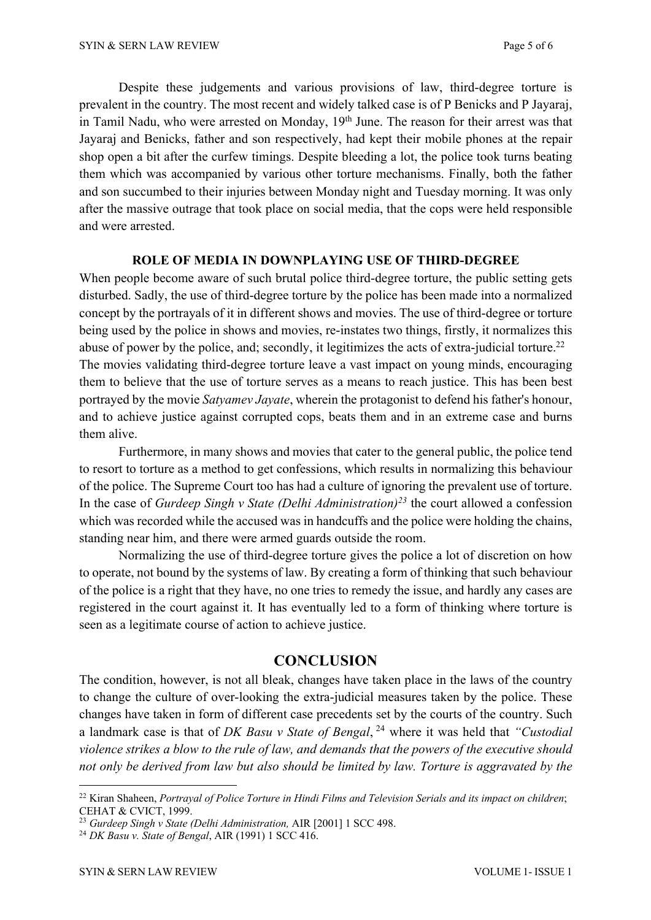Despite these judgements and various provisions of law, third-degree torture is prevalent in the country. The most recent and widely talked case is of P Benicks and P Jayaraj, in Tamil Nadu, who were arrested on Monday, 19<sup>th</sup> June. The reason for their arrest was that Jayaraj and Benicks, father and son respectively, had kept their mobile phones at the repair shop open a bit after the curfew timings. Despite bleeding a lot, the police took turns beating them which was accompanied by various other torture mechanisms. Finally, both the father and son succumbed to their injuries between Monday night and Tuesday morning. It was only after the massive outrage that took place on social media, that the cops were held responsible and were arrested.

#### **ROLE OF MEDIA IN DOWNPLAYING USE OF THIRD-DEGREE**

When people become aware of such brutal police third-degree torture, the public setting gets disturbed. Sadly, the use of third-degree torture by the police has been made into a normalized concept by the portrayals of it in different shows and movies. The use of third-degree or torture being used by the police in shows and movies, re-instates two things, firstly, it normalizes this abuse of power by the police, and; secondly, it legitimizes the acts of extra-judicial torture.<sup>22</sup> The movies validating third-degree torture leave a vast impact on young minds, encouraging them to believe that the use of torture serves as a means to reach justice. This has been best portrayed by the movie *Satyamev Jayate*, wherein the protagonist to defend his father's honour, and to achieve justice against corrupted cops, beats them and in an extreme case and burns them alive.

Furthermore, in many shows and movies that cater to the general public, the police tend to resort to torture as a method to get confessions, which results in normalizing this behaviour of the police. The Supreme Court too has had a culture of ignoring the prevalent use of torture. In the case of *Gurdeep Singh v State (Delhi Administration)23* the court allowed a confession which was recorded while the accused was in handcuffs and the police were holding the chains, standing near him, and there were armed guards outside the room.

Normalizing the use of third-degree torture gives the police a lot of discretion on how to operate, not bound by the systems of law. By creating a form of thinking that such behaviour of the police is a right that they have, no one tries to remedy the issue, and hardly any cases are registered in the court against it. It has eventually led to a form of thinking where torture is seen as a legitimate course of action to achieve justice.

### **CONCLUSION**

The condition, however, is not all bleak, changes have taken place in the laws of the country to change the culture of over-looking the extra-judicial measures taken by the police. These changes have taken in form of different case precedents set by the courts of the country. Such a landmark case is that of *DK Basu v State of Bengal*, <sup>24</sup> where it was held that *"Custodial violence strikes a blow to the rule of law, and demands that the powers of the executive should not only be derived from law but also should be limited by law. Torture is aggravated by the* 

<sup>22</sup> Kiran Shaheen, *Portrayal of Police Torture in Hindi Films and Television Serials and its impact on children*; CEHAT & CVICT, 1999.

<sup>23</sup> *Gurdeep Singh v State (Delhi Administration,* AIR [2001] 1 SCC 498.

<sup>24</sup> *DK Basu v. State of Bengal*, AIR (1991) 1 SCC 416.